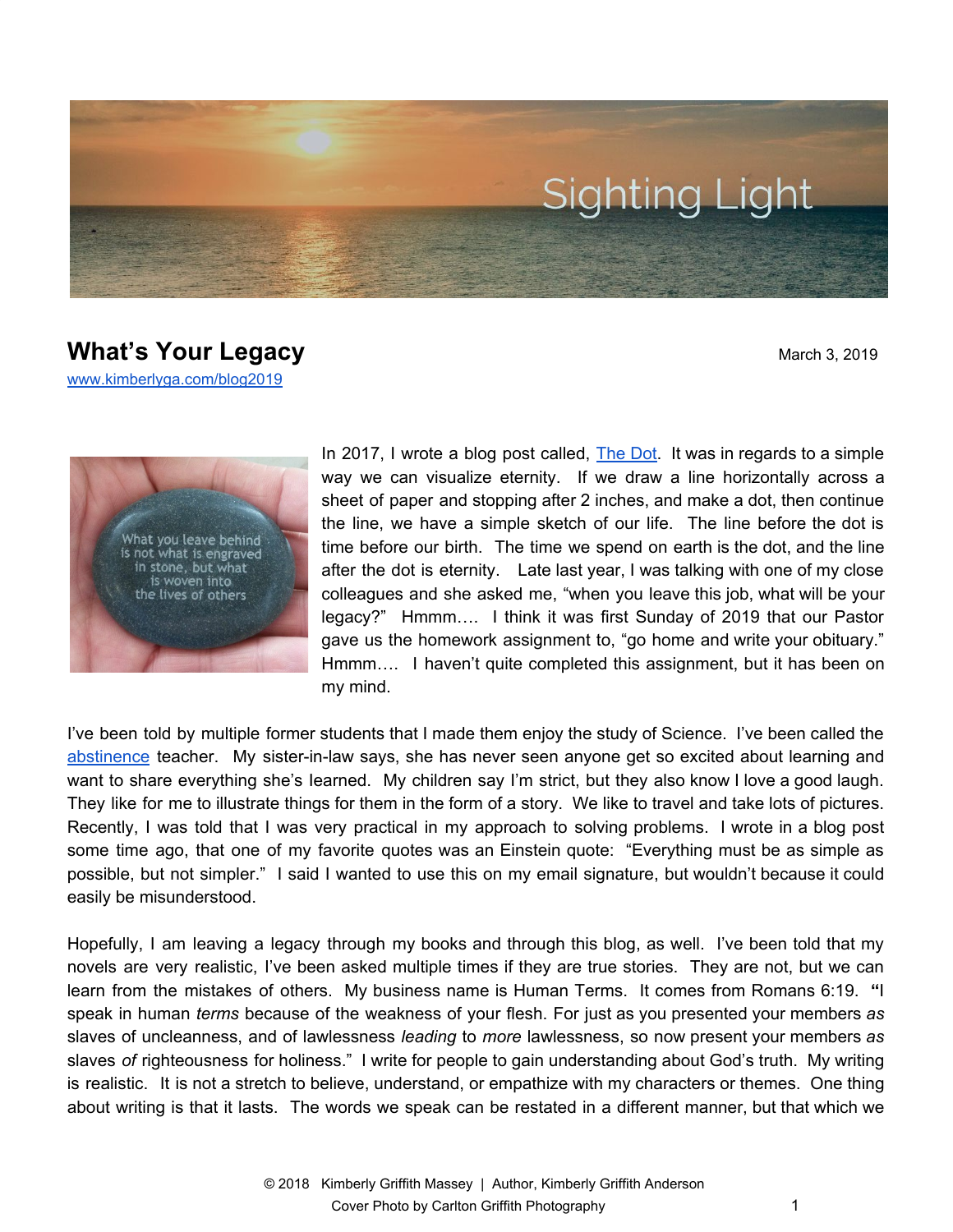

## **What's Your Legacy** March 3, 2019

[www.kimberlyga.com/blog2019](http://www.kimberlyga.com/blog)



In 2017, I wrote a blog post called, [The](http://www.kimberlyga.com/blog/archives/09-2017/2) Dot. It was in regards to a simple way we can visualize eternity. If we draw a line horizontally across a sheet of paper and stopping after 2 inches, and make a dot, then continue the line, we have a simple sketch of our life. The line before the dot is time before our birth. The time we spend on earth is the dot, and the line after the dot is eternity. Late last year, I was talking with one of my close colleagues and she asked me, "when you leave this job, what will be your legacy?" Hmmm…. I think it was first Sunday of 2019 that our Pastor gave us the homework assignment to, "go home and write your obituary." Hmmm.... I haven't quite completed this assignment, but it has been on my mind.

I've been told by multiple former students that I made them enjoy the study of Science. I've been called the [abstinence](https://www.amazon.com/Girls-Abstinence-Kimberly-Griffith-Anderson/dp/1530956587/ref=sr_1_fkmrnull_1?keywords=a+girls%27+guide+to+abstinence&qid=1551537732&s=gateway&sr=8-1-fkmrnull) teacher. My sister-in-law says, she has never seen anyone get so excited about learning and want to share everything she's Iearned. My children say I'm strict, but they also know I love a good laugh. They like for me to illustrate things for them in the form of a story. We like to travel and take lots of pictures. Recently, I was told that I was very practical in my approach to solving problems. I wrote in a blog post some time ago, that one of my favorite quotes was an Einstein quote: "Everything must be as simple as possible, but not simpler." I said I wanted to use this on my email signature, but wouldn't because it could easily be misunderstood.

Hopefully, I am leaving a legacy through my books and through this blog, as well. I've been told that my novels are very realistic, I've been asked multiple times if they are true stories. They are not, but we can learn from the mistakes of others. My business name is Human Terms. It comes from Romans 6:19. **"**I speak in human *terms* because of the weakness of your flesh. For just as you presented your members *as* slaves of uncleanness, and of lawlessness *leading* to *more* lawlessness, so now present your members *as* slaves *of* righteousness for holiness." I write for people to gain understanding about God's truth. My writing is realistic. It is not a stretch to believe, understand, or empathize with my characters or themes. One thing about writing is that it lasts. The words we speak can be restated in a different manner, but that which we